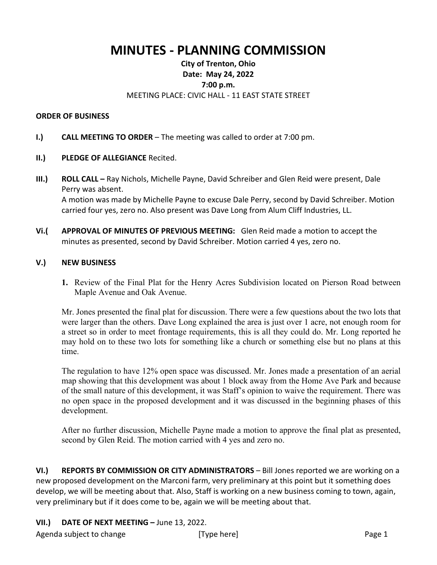## **MINUTES - PLANNING COMMISSION**

## **City of Trenton, Ohio Date: May 24, 2022 7:00 p.m.** MEETING PLACE: CIVIC HALL - 11 EAST STATE STREET

## **ORDER OF BUSINESS**

- **I.) CALL MEETING TO ORDER** The meeting was called to order at 7:00 pm.
- **II.) PLEDGE OF ALLEGIANCE** Recited.
- **III.) ROLL CALL –** Ray Nichols, Michelle Payne, David Schreiber and Glen Reid were present, Dale Perry was absent. A motion was made by Michelle Payne to excuse Dale Perry, second by David Schreiber. Motion carried four yes, zero no. Also present was Dave Long from Alum Cliff Industries, LL.
- **Vi.( APPROVAL OF MINUTES OF PREVIOUS MEETING:** Glen Reid made a motion to accept the minutes as presented, second by David Schreiber. Motion carried 4 yes, zero no.

## **V.) NEW BUSINESS**

**1.** Review of the Final Plat for the Henry Acres Subdivision located on Pierson Road between Maple Avenue and Oak Avenue.

Mr. Jones presented the final plat for discussion. There were a few questions about the two lots that were larger than the others. Dave Long explained the area is just over 1 acre, not enough room for a street so in order to meet frontage requirements, this is all they could do. Mr. Long reported he may hold on to these two lots for something like a church or something else but no plans at this time.

The regulation to have 12% open space was discussed. Mr. Jones made a presentation of an aerial map showing that this development was about 1 block away from the Home Ave Park and because of the small nature of this development, it was Staff's opinion to waive the requirement. There was no open space in the proposed development and it was discussed in the beginning phases of this development.

After no further discussion, Michelle Payne made a motion to approve the final plat as presented, second by Glen Reid. The motion carried with 4 yes and zero no.

**VI.) REPORTS BY COMMISSION OR CITY ADMINISTRATORS** – Bill Jones reported we are working on a new proposed development on the Marconi farm, very preliminary at this point but it something does develop, we will be meeting about that. Also, Staff is working on a new business coming to town, again, very preliminary but if it does come to be, again we will be meeting about that.

**VII.) DATE OF NEXT MEETING –** June 13, 2022.